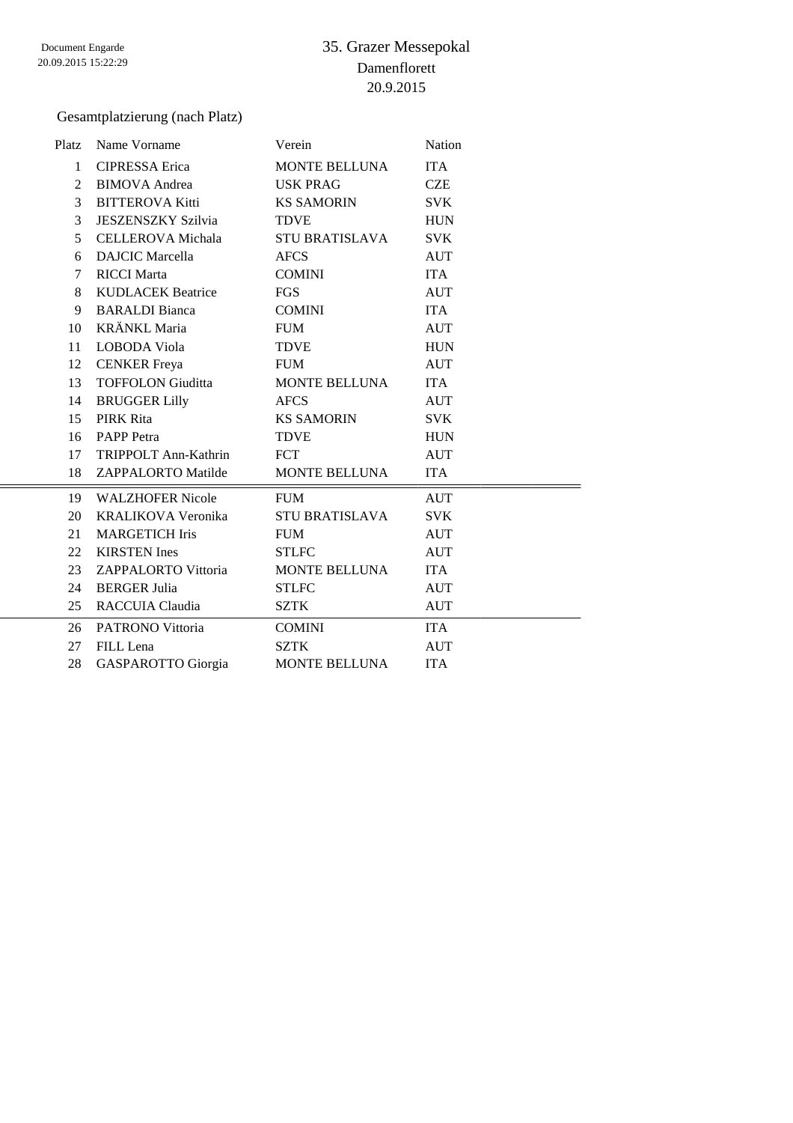#### Gesamtplatzierung (nach Platz)

| Platz        | Name Vorname               | Verein                | Nation     |
|--------------|----------------------------|-----------------------|------------|
| $\mathbf{1}$ | <b>CIPRESSA Erica</b>      | <b>MONTE BELLUNA</b>  | <b>ITA</b> |
| 2            | <b>BIMOVA</b> Andrea       | <b>USK PRAG</b>       | <b>CZE</b> |
| 3            | <b>BITTEROVA Kitti</b>     | <b>KS SAMORIN</b>     | <b>SVK</b> |
| 3            | <b>JESZENSZKY Szilvia</b>  | <b>TDVE</b>           | <b>HUN</b> |
| 5            | <b>CELLEROVA</b> Michala   | <b>STU BRATISLAVA</b> | <b>SVK</b> |
| 6            | <b>DAJCIC</b> Marcella     | <b>AFCS</b>           | <b>AUT</b> |
| 7            | <b>RICCI</b> Marta         | <b>COMINI</b>         | <b>ITA</b> |
| 8            | <b>KUDLACEK Beatrice</b>   | <b>FGS</b>            | <b>AUT</b> |
| 9            | <b>BARALDI</b> Bianca      | <b>COMINI</b>         | <b>ITA</b> |
| 10           | <b>KRÄNKL Maria</b>        | <b>FUM</b>            | <b>AUT</b> |
| 11           | LOBODA Viola               | <b>TDVE</b>           | <b>HUN</b> |
| 12           | <b>CENKER</b> Freya        | <b>FUM</b>            | <b>AUT</b> |
| 13           | <b>TOFFOLON Giuditta</b>   | MONTE BELLUNA         | <b>ITA</b> |
| 14           | <b>BRUGGER Lilly</b>       | <b>AFCS</b>           | AUT        |
| 15           | <b>PIRK Rita</b>           | <b>KS SAMORIN</b>     | <b>SVK</b> |
| 16           | <b>PAPP</b> Petra          | <b>TDVE</b>           | <b>HUN</b> |
| 17           | TRIPPOLT Ann-Kathrin       | FCT                   | <b>AUT</b> |
| 18           | ZAPPALORTO Matilde         | MONTE BELLUNA         | <b>ITA</b> |
| 19           | <b>WALZHOFER Nicole</b>    | <b>FUM</b>            | <b>AUT</b> |
| 20           | KRALIKOVA Veronika         | <b>STU BRATISLAVA</b> | <b>SVK</b> |
| 21           | <b>MARGETICH Iris</b>      | <b>FUM</b>            | <b>AUT</b> |
| 22           | <b>KIRSTEN</b> Ines        | <b>STLFC</b>          | <b>AUT</b> |
| 23           | <b>ZAPPALORTO Vittoria</b> | <b>MONTE BELLUNA</b>  | <b>ITA</b> |
| 24           | <b>BERGER Julia</b>        | <b>STLFC</b>          | <b>AUT</b> |
| 25           | RACCUIA Claudia            | <b>SZTK</b>           | <b>AUT</b> |
| 26           | PATRONO Vittoria           | <b>COMINI</b>         | <b>ITA</b> |
| 27           | FILL Lena                  | <b>SZTK</b>           | <b>AUT</b> |
| 28           | <b>GASPAROTTO</b> Giorgia  | <b>MONTE BELLUNA</b>  | <b>ITA</b> |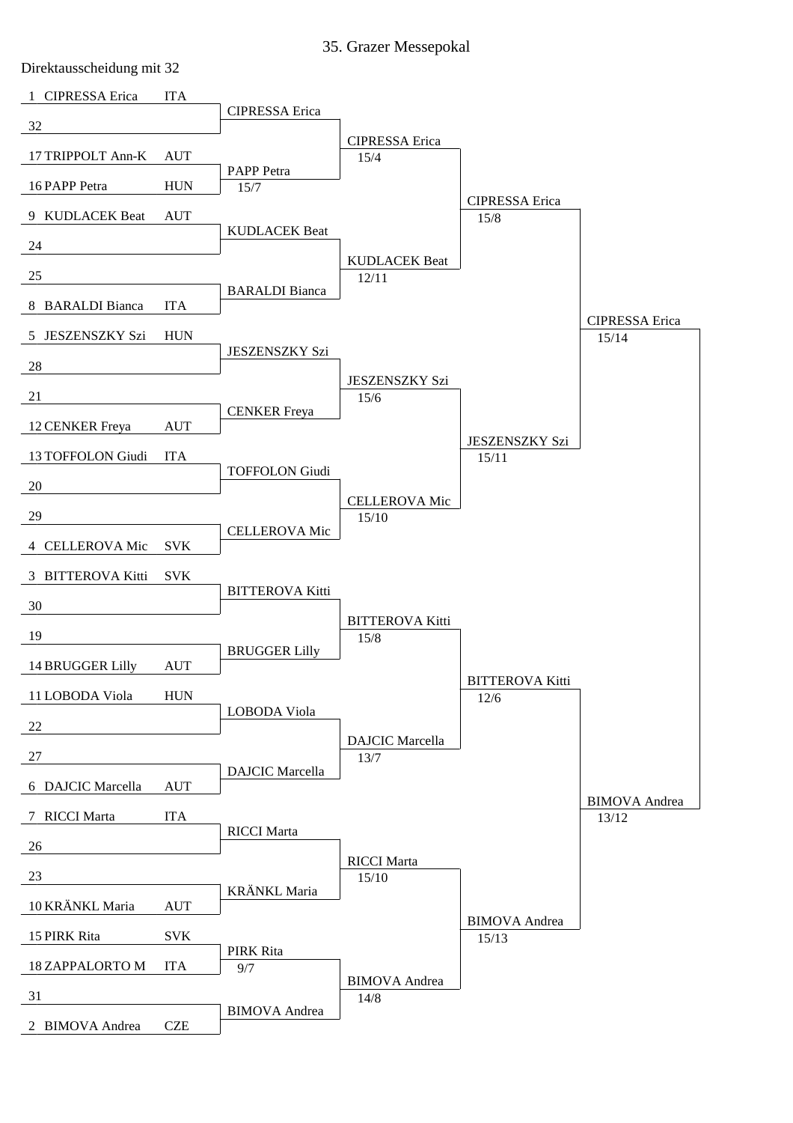35. Grazer Messepokal

Direktausscheidung mit 32

| 1 CIPRESSA Erica       | <b>ITA</b> |                        |                                |                                  |                                |
|------------------------|------------|------------------------|--------------------------------|----------------------------------|--------------------------------|
| 32                     |            | <b>CIPRESSA</b> Erica  |                                |                                  |                                |
| 17 TRIPPOLT Ann-K      | <b>AUT</b> |                        | <b>CIPRESSA</b> Erica<br>15/4  |                                  |                                |
| 16 PAPP Petra          | <b>HUN</b> | PAPP Petra<br>15/7     |                                |                                  |                                |
| 9 KUDLACEK Beat        | <b>AUT</b> |                        |                                | <b>CIPRESSA</b> Erica<br>15/8    |                                |
| 24                     |            | <b>KUDLACEK Beat</b>   |                                |                                  |                                |
| 25                     |            |                        | <b>KUDLACEK Beat</b><br>12/11  |                                  |                                |
| 8 BARALDI Bianca       | <b>ITA</b> | <b>BARALDI</b> Bianca  |                                |                                  |                                |
| 5 JESZENSZKY Szi       | <b>HUN</b> |                        |                                |                                  | <b>CIPRESSA</b> Erica<br>15/14 |
| 28                     |            | <b>JESZENSZKY Szi</b>  |                                |                                  |                                |
| 21                     |            |                        | <b>JESZENSZKY Szi</b><br>15/6  |                                  |                                |
| 12 CENKER Freya        | <b>AUT</b> | <b>CENKER</b> Freya    |                                |                                  |                                |
| 13 TOFFOLON Giudi      | <b>ITA</b> |                        |                                | <b>JESZENSZKY Szi</b><br>15/11   |                                |
| 20                     |            | <b>TOFFOLON Giudi</b>  |                                |                                  |                                |
| 29                     |            |                        | <b>CELLEROVA Mic</b><br>15/10  |                                  |                                |
| 4 CELLEROVA Mic        | <b>SVK</b> | <b>CELLEROVA Mic</b>   |                                |                                  |                                |
| 3 BITTEROVA Kitti      | <b>SVK</b> |                        |                                |                                  |                                |
| 30                     |            | <b>BITTEROVA Kitti</b> |                                |                                  |                                |
| 19                     |            |                        | <b>BITTEROVA Kitti</b><br>15/8 |                                  |                                |
| 14 BRUGGER Lilly       | <b>AUT</b> | <b>BRUGGER Lilly</b>   |                                |                                  |                                |
| 11 LOBODA Viola        | <b>HUN</b> |                        |                                | <b>BITTEROVA Kitti</b><br>$12/6$ |                                |
| 22                     |            | LOBODA Viola           |                                |                                  |                                |
| 27                     |            |                        | <b>DAJCIC</b> Marcella<br>13/7 |                                  |                                |
| 6 DAJCIC Marcella      | <b>AUT</b> | <b>DAJCIC</b> Marcella |                                |                                  |                                |
| 7 RICCI Marta          | <b>ITA</b> |                        |                                |                                  | <b>BIMOVA</b> Andrea<br>13/12  |
| 26                     |            | <b>RICCI</b> Marta     |                                |                                  |                                |
| 23                     |            |                        | <b>RICCI</b> Marta<br>15/10    |                                  |                                |
| 10 KRÄNKL Maria        | <b>AUT</b> | KRÄNKL Maria           |                                |                                  |                                |
| 15 PIRK Rita           | <b>SVK</b> |                        |                                | <b>BIMOVA</b> Andrea<br>15/13    |                                |
| <b>18 ZAPPALORTO M</b> | <b>ITA</b> | PIRK Rita<br>9/7       |                                |                                  |                                |
| 31                     |            |                        | <b>BIMOVA</b> Andrea<br>14/8   |                                  |                                |
| 2 BIMOVA Andrea        | <b>CZE</b> | <b>BIMOVA</b> Andrea   |                                |                                  |                                |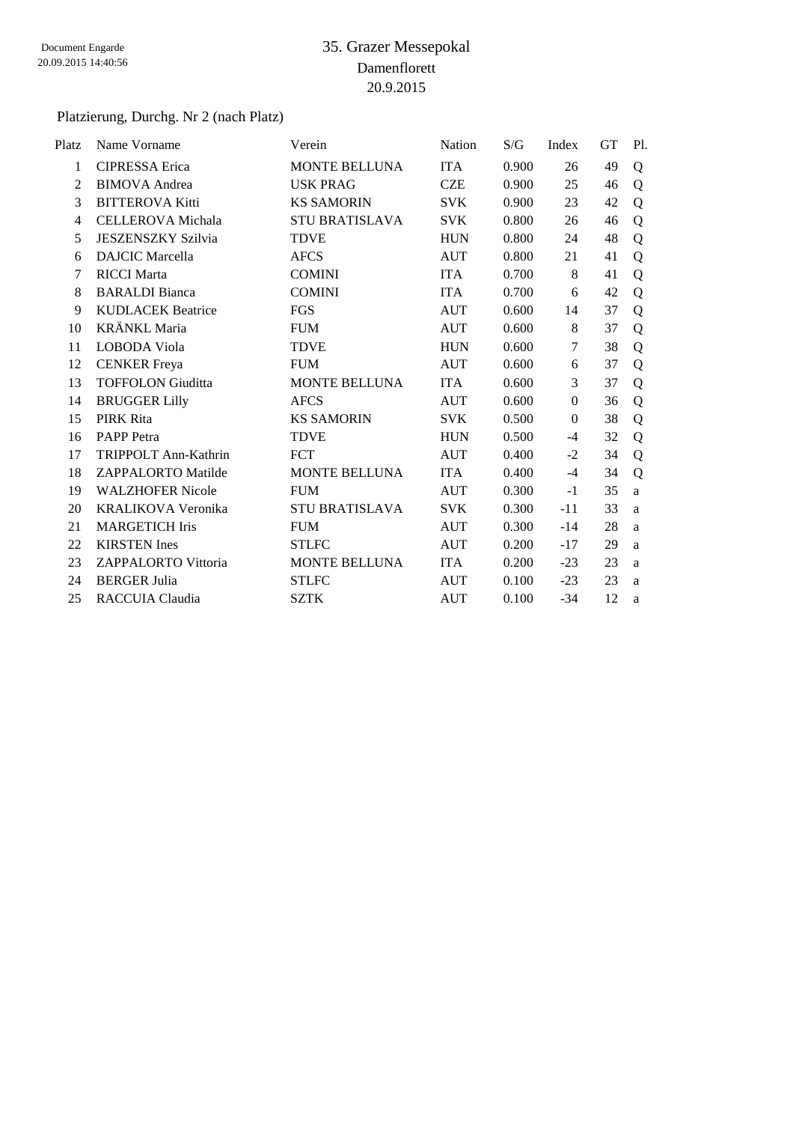# Platzierung, Durchg. Nr 2 (nach Platz)

| Platz        | Name Vorname               | Verein                | Nation     | S/G   | Index          | <b>GT</b> | Pl. |
|--------------|----------------------------|-----------------------|------------|-------|----------------|-----------|-----|
| $\mathbf{1}$ | <b>CIPRESSA</b> Erica      | <b>MONTE BELLUNA</b>  | <b>ITA</b> | 0.900 | 26             | 49        | Q   |
| 2            | <b>BIMOVA</b> Andrea       | <b>USK PRAG</b>       | <b>CZE</b> | 0.900 | 25             | 46        | Q   |
| 3            | <b>BITTEROVA Kitti</b>     | <b>KS SAMORIN</b>     | <b>SVK</b> | 0.900 | 23             | 42        | Q   |
| 4            | <b>CELLEROVA</b> Michala   | <b>STU BRATISLAVA</b> | <b>SVK</b> | 0.800 | 26             | 46        | Q   |
| 5            | <b>JESZENSZKY Szilvia</b>  | <b>TDVE</b>           | <b>HUN</b> | 0.800 | 24             | 48        | Q   |
| 6            | <b>DAJCIC</b> Marcella     | <b>AFCS</b>           | <b>AUT</b> | 0.800 | 21             | 41        | Q   |
| 7            | <b>RICCI</b> Marta         | <b>COMINI</b>         | <b>ITA</b> | 0.700 | 8              | 41        | Q   |
| 8            | <b>BARALDI</b> Bianca      | <b>COMINI</b>         | <b>ITA</b> | 0.700 | 6              | 42        | Q   |
| 9            | <b>KUDLACEK Beatrice</b>   | <b>FGS</b>            | <b>AUT</b> | 0.600 | 14             | 37        | Q   |
| 10           | <b>KRÄNKL Maria</b>        | <b>FUM</b>            | <b>AUT</b> | 0.600 | 8              | 37        | Q   |
| 11           | LOBODA Viola               | <b>TDVE</b>           | <b>HUN</b> | 0.600 | $\tau$         | 38        | Q   |
| 12           | <b>CENKER</b> Freya        | <b>FUM</b>            | <b>AUT</b> | 0.600 | 6              | 37        | Q   |
| 13           | <b>TOFFOLON Giuditta</b>   | <b>MONTE BELLUNA</b>  | <b>ITA</b> | 0.600 | 3              | 37        | Q   |
| 14           | <b>BRUGGER Lilly</b>       | <b>AFCS</b>           | <b>AUT</b> | 0.600 | $\overline{0}$ | 36        | Q   |
| 15           | PIRK Rita                  | <b>KS SAMORIN</b>     | SVK        | 0.500 | $\theta$       | 38        | Q   |
| 16           | PAPP Petra                 | <b>TDVE</b>           | <b>HUN</b> | 0.500 | $-4$           | 32        | Q   |
| 17           | TRIPPOLT Ann-Kathrin       | <b>FCT</b>            | <b>AUT</b> | 0.400 | $-2$           | 34        | Q   |
| 18           | ZAPPALORTO Matilde         | MONTE BELLUNA         | <b>ITA</b> | 0.400 | $-4$           | 34        | Q   |
| 19           | <b>WALZHOFER Nicole</b>    | <b>FUM</b>            | <b>AUT</b> | 0.300 | $-1$           | 35        | a   |
| 20           | KRALIKOVA Veronika         | <b>STU BRATISLAVA</b> | <b>SVK</b> | 0.300 | $-11$          | 33        | a   |
| 21           | <b>MARGETICH Iris</b>      | <b>FUM</b>            | <b>AUT</b> | 0.300 | $-14$          | 28        | a   |
| 22           | <b>KIRSTEN</b> Ines        | <b>STLFC</b>          | <b>AUT</b> | 0.200 | $-17$          | 29        | a   |
| 23           | <b>ZAPPALORTO Vittoria</b> | MONTE BELLUNA         | <b>ITA</b> | 0.200 | $-23$          | 23        | a   |
| 24           | <b>BERGER Julia</b>        | <b>STLFC</b>          | <b>AUT</b> | 0.100 | $-23$          | 23        | a   |
| 25           | RACCUIA Claudia            | <b>SZTK</b>           | <b>AUT</b> | 0.100 | $-34$          | 12        | a   |
|              |                            |                       |            |       |                |           |     |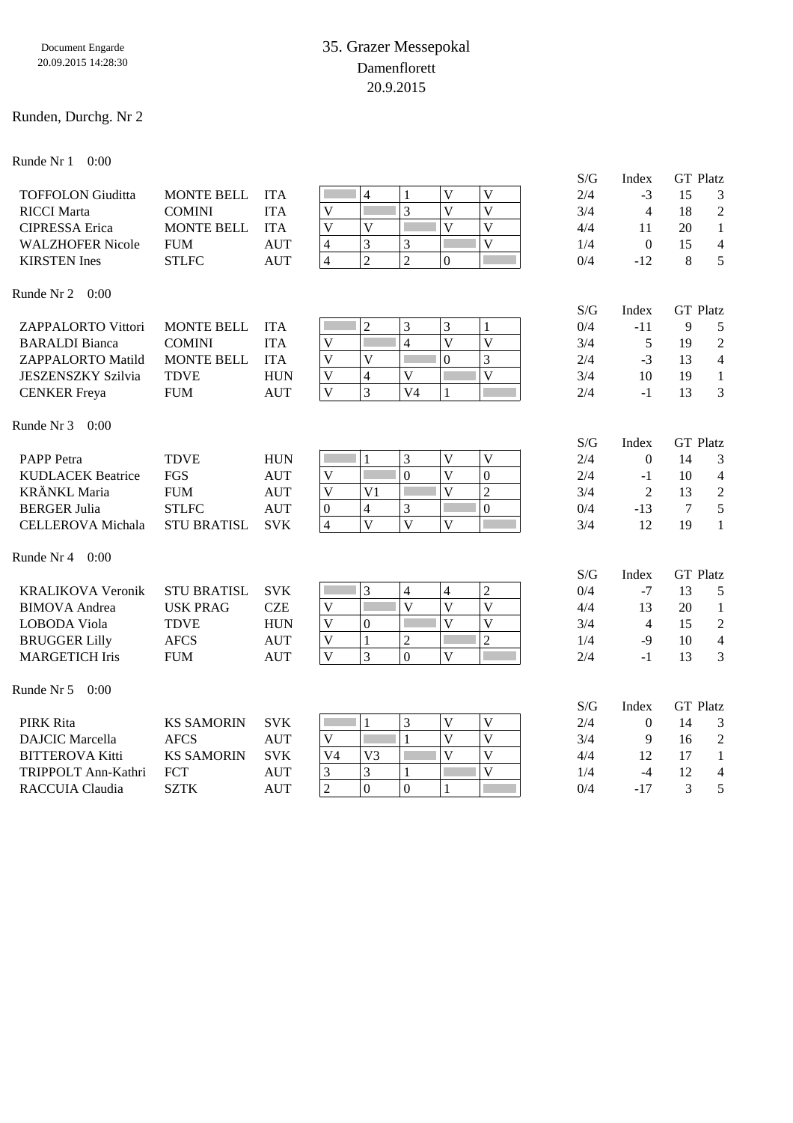#### Runden, Durchg. Nr 2

Runde Nr 1 0:00

|                           |                    |            |                                                             |                         |                         | S/G | Index            | <b>GT</b> Platz |                |
|---------------------------|--------------------|------------|-------------------------------------------------------------|-------------------------|-------------------------|-----|------------------|-----------------|----------------|
| <b>TOFFOLON Giuditta</b>  | <b>MONTE BELL</b>  | <b>ITA</b> | $\overline{4}$                                              | $\overline{\mathbf{V}}$ | $\overline{V}$          | 2/4 | $-3$             | 15              | 3              |
| <b>RICCI</b> Marta        | <b>COMINI</b>      | <b>ITA</b> | $\overline{3}$<br>$\mathbf{V}$                              | V                       | $\overline{\mathsf{V}}$ | 3/4 | $\overline{4}$   | 18              | $\mathfrak{2}$ |
| <b>CIPRESSA</b> Erica     | <b>MONTE BELL</b>  | <b>ITA</b> | $\mathbf{V}$<br>$\mathbf{V}$                                | $\overline{\mathbf{V}}$ | $\overline{\mathsf{V}}$ | 4/4 | 11               | 20              | $\mathbf{1}$   |
| <b>WALZHOFER Nicole</b>   | <b>FUM</b>         | <b>AUT</b> | 3<br>3<br>$\overline{4}$                                    |                         | $\overline{\mathsf{V}}$ | 1/4 | $\mathbf{0}$     | 15              | $\overline{4}$ |
| <b>KIRSTEN</b> Ines       | <b>STLFC</b>       | <b>AUT</b> | $\overline{2}$<br>$\overline{2}$<br>$\overline{4}$          | $\theta$                |                         | 0/4 | $-12$            | 8               | 5              |
| Runde Nr 2<br>0:00        |                    |            |                                                             |                         |                         |     |                  |                 |                |
|                           |                    |            |                                                             |                         |                         | S/G | Index            | <b>GT</b> Platz |                |
| ZAPPALORTO Vittori        | <b>MONTE BELL</b>  | <b>ITA</b> | $\overline{2}$<br>3                                         | 3                       | $\mathbf{1}$            | 0/4 | $-11$            | 9               | 5              |
| <b>BARALDI</b> Bianca     | <b>COMINI</b>      | <b>ITA</b> | $\mathbf V$<br>$\overline{4}$                               | $\overline{V}$          | $\overline{\mathsf{V}}$ | 3/4 | 5                | 19              | $\mathfrak 2$  |
| ZAPPALORTO Matild         | <b>MONTE BELL</b>  | <b>ITA</b> | $\overline{\mathsf{V}}$<br>$\overline{\mathsf{V}}$          | $\boldsymbol{0}$        | $\mathfrak{Z}$          | 2/4 | $-3$             | 13              | $\overline{4}$ |
| <b>JESZENSZKY Szilvia</b> | <b>TDVE</b>        | <b>HUN</b> | $\mathbf V$<br>$\overline{4}$<br>$\mathbf V$                |                         | $\overline{\mathsf{V}}$ | 3/4 | 10               | 19              | $\mathbf{1}$   |
| <b>CENKER</b> Freya       | <b>FUM</b>         | <b>AUT</b> | $\overline{3}$<br>$\overline{\mathbf{V}}$<br>V <sub>4</sub> | $\mathbf{1}$            |                         | 2/4 | $-1$             | 13              | 3              |
| Runde Nr 3<br>0:00        |                    |            |                                                             |                         |                         |     |                  |                 |                |
|                           |                    |            |                                                             |                         |                         | S/G | Index            | <b>GT</b> Platz |                |
| <b>PAPP</b> Petra         | <b>TDVE</b>        | <b>HUN</b> | $\mathbf{1}$<br>3                                           | $\mathbf V$             | $\mathbf{V}$            | 2/4 | $\boldsymbol{0}$ | 14              | 3              |
| <b>KUDLACEK Beatrice</b>  | <b>FGS</b>         | <b>AUT</b> | $\overline{0}$<br>$\mathbf V$                               | $\overline{V}$          | $\mathbf{0}$            | 2/4 | $-1$             | 10              | $\overline{4}$ |
| <b>KRÄNKL</b> Maria       | <b>FUM</b>         | <b>AUT</b> | V<br>V <sub>1</sub>                                         | $\overline{V}$          | $\overline{2}$          | 3/4 | $\overline{2}$   | 13              | $\sqrt{2}$     |
| <b>BERGER Julia</b>       | <b>STLFC</b>       | <b>AUT</b> | 3<br>4<br>$\boldsymbol{0}$                                  |                         | $\overline{0}$          | 0/4 | $-13$            | $\tau$          | 5              |
| <b>CELLEROVA</b> Michala  | <b>STU BRATISL</b> | <b>SVK</b> | $\overline{\mathsf{V}}$<br>$\overline{\mathbf{V}}$<br>4     | V                       |                         | 3/4 | 12               | 19              | $\mathbf{1}$   |
| Runde Nr 4<br>0:00        |                    |            |                                                             |                         |                         |     |                  |                 |                |
|                           |                    |            |                                                             |                         |                         | S/G | Index            | <b>GT</b> Platz |                |
| <b>KRALIKOVA Veronik</b>  | <b>STU BRATISL</b> | <b>SVK</b> | 3<br>4                                                      | 4                       | $\overline{2}$          | 0/4 | $-7$             | 13              | 5              |
| <b>BIMOVA</b> Andrea      | <b>USK PRAG</b>    | <b>CZE</b> | $\overline{V}$<br>$\overline{\mathbf{V}}$                   | $\overline{V}$          | $\overline{\mathsf{V}}$ | 4/4 | 13               | 20              | 1              |
| LOBODA Viola              | <b>TDVE</b>        | <b>HUN</b> | $\overline{\mathbf{V}}$<br>$\mathbf{0}$                     | $\overline{\mathbf{V}}$ | $\overline{\mathsf{V}}$ | 3/4 | $\overline{4}$   | 15              | $\sqrt{2}$     |
| <b>BRUGGER Lilly</b>      | <b>AFCS</b>        | <b>AUT</b> | $\mathbf{1}$<br>$\overline{2}$<br>$\mathbf V$               |                         | $\overline{2}$          | 1/4 | $-9$             | 10              | $\overline{4}$ |
| <b>MARGETICH Iris</b>     | <b>FUM</b>         | <b>AUT</b> | $\overline{\mathbf{V}}$<br>3<br>$\overline{0}$              | $\mathbf{V}$            |                         | 2/4 | $-1$             | 13              | 3              |
| Runde Nr 5<br>0:00        |                    |            |                                                             |                         |                         |     |                  |                 |                |
|                           |                    |            |                                                             |                         |                         | S/G | Index            | <b>GT</b> Platz |                |
| <b>PIRK Rita</b>          | <b>KS SAMORIN</b>  | <b>SVK</b> | F<br>3<br>$\mathbf{1}$                                      | V                       | V                       | 2/4 | $\boldsymbol{0}$ | 14              | 3              |
| <b>DAJCIC</b> Marcella    | <b>AFCS</b>        | <b>AUT</b> | $\mathbf{V}$<br>$\mathbf{1}$                                | $\overline{\mathbf{V}}$ | $\overline{V}$          | 3/4 | 9                | 16              | $\sqrt{2}$     |
| <b>BITTEROVA Kitti</b>    | <b>KS SAMORIN</b>  | <b>SVK</b> | V <sub>4</sub><br>V <sub>3</sub>                            | $\overline{\mathbf{V}}$ | $\overline{V}$          | 4/4 | 12               | 17              | $\mathbf{1}$   |
| TRIPPOLT Ann-Kathri       | FCT                | <b>AUT</b> | 3<br>3                                                      |                         | $\overline{\mathsf{V}}$ | 1/4 | $-4$             | 12              | $\overline{4}$ |
| RACCUIA Claudia           | <b>SZTK</b>        | <b>AUT</b> | $\overline{c}$<br>$\mathbf{0}$<br>$\overline{0}$            | $\mathbf{1}$            |                         | 0/4 | $-17$            | 3               | 5              |
|                           |                    |            |                                                             |                         |                         |     |                  |                 |                |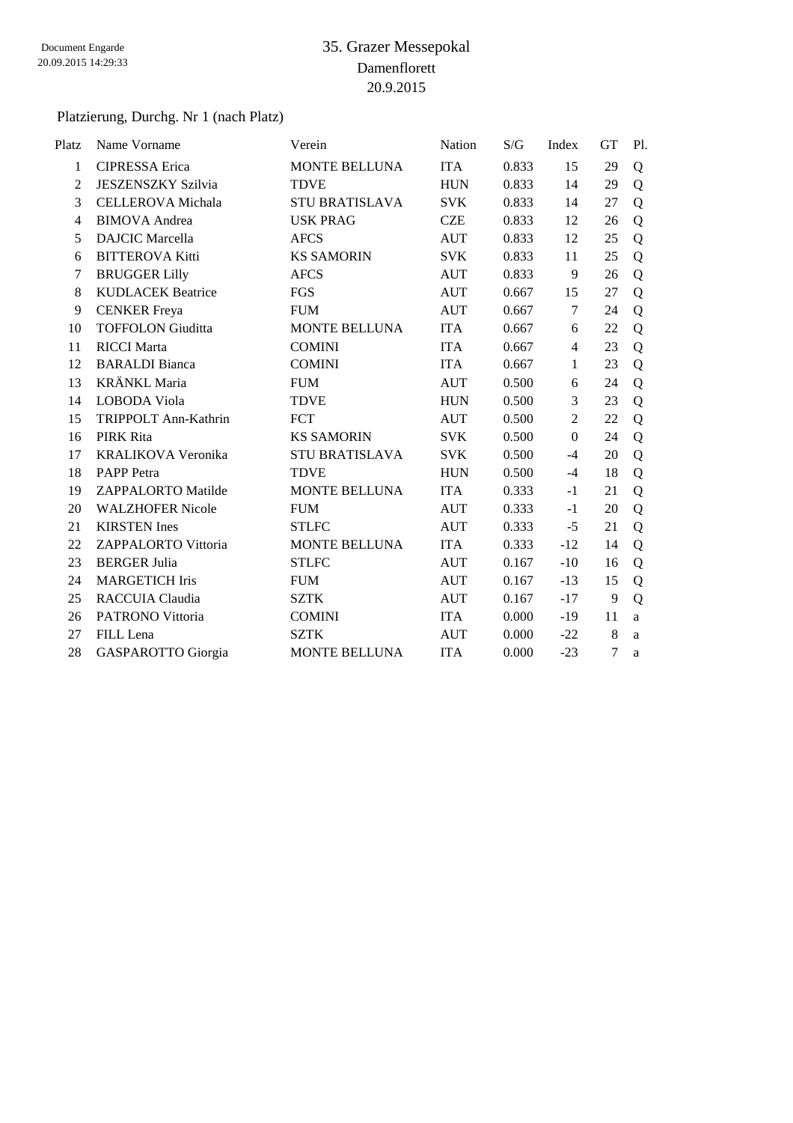#### Platzierung, Durchg. Nr 1 (nach Platz)

| Platz          | Name Vorname              | Verein                | Nation     | S/G   | Index          | <b>GT</b>      | Pl. |
|----------------|---------------------------|-----------------------|------------|-------|----------------|----------------|-----|
| $\mathbf{1}$   | <b>CIPRESSA</b> Erica     | <b>MONTE BELLUNA</b>  | <b>ITA</b> | 0.833 | 15             | 29             | Q   |
| $\overline{2}$ | <b>JESZENSZKY Szilvia</b> | <b>TDVE</b>           | <b>HUN</b> | 0.833 | 14             | 29             | Q   |
| 3              | <b>CELLEROVA</b> Michala  | <b>STU BRATISLAVA</b> | <b>SVK</b> | 0.833 | 14             | 27             | Q   |
| 4              | <b>BIMOVA</b> Andrea      | <b>USK PRAG</b>       | <b>CZE</b> | 0.833 | 12             | 26             | Q   |
| 5              | <b>DAJCIC</b> Marcella    | <b>AFCS</b>           | <b>AUT</b> | 0.833 | 12             | 25             | Q   |
| 6              | <b>BITTEROVA Kitti</b>    | <b>KS SAMORIN</b>     | <b>SVK</b> | 0.833 | 11             | 25             | Q   |
| 7              | <b>BRUGGER Lilly</b>      | <b>AFCS</b>           | <b>AUT</b> | 0.833 | 9              | 26             | Q   |
| 8              | <b>KUDLACEK Beatrice</b>  | <b>FGS</b>            | <b>AUT</b> | 0.667 | 15             | 27             | Q   |
| 9              | <b>CENKER</b> Freya       | <b>FUM</b>            | <b>AUT</b> | 0.667 | 7              | 24             | Q   |
| 10             | <b>TOFFOLON Giuditta</b>  | <b>MONTE BELLUNA</b>  | <b>ITA</b> | 0.667 | 6              | 22             | Q   |
| 11             | <b>RICCI</b> Marta        | <b>COMINI</b>         | <b>ITA</b> | 0.667 | $\overline{4}$ | 23             | Q   |
| 12             | <b>BARALDI</b> Bianca     | <b>COMINI</b>         | <b>ITA</b> | 0.667 | 1              | 23             | Q   |
| 13             | <b>KRÄNKL Maria</b>       | <b>FUM</b>            | <b>AUT</b> | 0.500 | 6              | 24             | Q   |
| 14             | LOBODA Viola              | <b>TDVE</b>           | <b>HUN</b> | 0.500 | 3              | 23             | Q   |
| 15             | TRIPPOLT Ann-Kathrin      | <b>FCT</b>            | <b>AUT</b> | 0.500 | $\overline{2}$ | 22             | Q   |
| 16             | <b>PIRK Rita</b>          | <b>KS SAMORIN</b>     | <b>SVK</b> | 0.500 | $\overline{0}$ | 24             | Q   |
| 17             | KRALIKOVA Veronika        | <b>STU BRATISLAVA</b> | <b>SVK</b> | 0.500 | $-4$           | 20             | Q   |
| 18             | <b>PAPP</b> Petra         | <b>TDVE</b>           | <b>HUN</b> | 0.500 | $-4$           | 18             | Q   |
| 19             | ZAPPALORTO Matilde        | MONTE BELLUNA         | <b>ITA</b> | 0.333 | $-1$           | 21             | Q   |
| 20             | <b>WALZHOFER Nicole</b>   | <b>FUM</b>            | <b>AUT</b> | 0.333 | $-1$           | 20             | Q   |
| 21             | <b>KIRSTEN</b> Ines       | <b>STLFC</b>          | <b>AUT</b> | 0.333 | $-5$           | 21             | Q   |
| 22             | ZAPPALORTO Vittoria       | MONTE BELLUNA         | <b>ITA</b> | 0.333 | $-12$          | 14             | Q   |
| 23             | <b>BERGER Julia</b>       | <b>STLFC</b>          | AUT        | 0.167 | $-10$          | 16             | Q   |
| 24             | <b>MARGETICH Iris</b>     | <b>FUM</b>            | <b>AUT</b> | 0.167 | $-13$          | 15             | Q   |
| 25             | RACCUIA Claudia           | <b>SZTK</b>           | <b>AUT</b> | 0.167 | $-17$          | 9              | Q   |
| 26             | <b>PATRONO Vittoria</b>   | <b>COMINI</b>         | <b>ITA</b> | 0.000 | $-19$          | 11             | a   |
| 27             | FILL Lena                 | <b>SZTK</b>           | <b>AUT</b> | 0.000 | $-22$          | 8              | a   |
| 28             | GASPAROTTO Giorgia        | MONTE BELLUNA         | <b>ITA</b> | 0.000 | $-23$          | $\overline{7}$ | a   |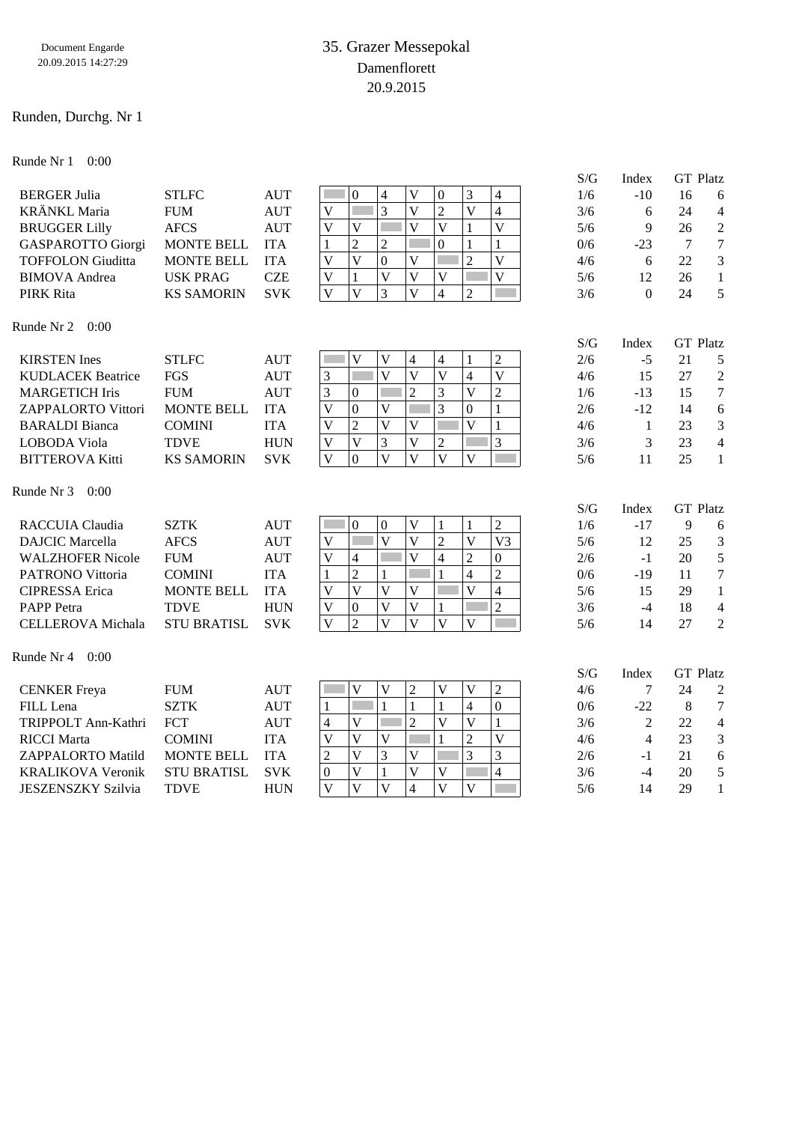#### Runden, Durchg. Nr 1

Runde Nr 1 0:00

|                           |                    |            | Index<br>S/G                                                                                                                                            | <b>GT Platz</b>        |
|---------------------------|--------------------|------------|---------------------------------------------------------------------------------------------------------------------------------------------------------|------------------------|
| <b>BERGER Julia</b>       | <b>STLFC</b>       | <b>AUT</b> | $\overline{\mathsf{V}}$<br>3<br>4<br>$\theta$<br>4<br>$\mathbf{0}$<br>1/6<br>$-10$                                                                      | 16<br>6                |
| <b>KRÄNKL</b> Maria       | <b>FUM</b>         | <b>AUT</b> | $\overline{3}$<br>$\overline{2}$<br>$\overline{\mathbf{V}}$<br>$\overline{\mathsf{V}}$<br>$\overline{\mathsf{V}}$<br>$\overline{4}$<br>3/6<br>6         | 24<br>$\overline{4}$   |
| <b>BRUGGER Lilly</b>      | <b>AFCS</b>        | <b>AUT</b> | $\overline{\mathsf{V}}$<br>$\overline{\mathsf{V}}$<br>$\mathbf V$<br>$\ensuremath{\mathbf{V}}$<br>$\overline{\mathbf{V}}$<br>$\mathbf{1}$<br>5/6<br>9   | 26<br>$\boldsymbol{2}$ |
| <b>GASPAROTTO Giorgi</b>  | <b>MONTE BELL</b>  | <b>ITA</b> | $\overline{2}$<br>$\overline{2}$<br>$\overline{0}$<br>$\mathbf{1}$<br>$\mathbf{1}$<br>$\mathbf{1}$<br>0/6<br>$-23$                                      | $\overline{7}$<br>7    |
| <b>TOFFOLON Giuditta</b>  | <b>MONTE BELL</b>  | <b>ITA</b> | $\overline{\mathsf{V}}$<br>$\mathbf V$<br>$\boldsymbol{0}$<br>$\overline{\mathsf{V}}$<br>$\overline{2}$<br>$\overline{\mathsf{V}}$<br>4/6<br>6          | 3<br>22                |
| <b>BIMOVA</b> Andrea      | <b>USK PRAG</b>    | <b>CZE</b> | $\overline{V}$<br>$\overline{\mathbf{V}}$<br>$\overline{V}$<br>$\overline{\mathsf{V}}$<br>$\overline{V}$<br>1<br>5/6<br>12                              | $\mathbf{1}$<br>26     |
| <b>PIRK Rita</b>          | <b>KS SAMORIN</b>  | <b>SVK</b> | 3<br>$\overline{V}$<br>$\overline{V}$<br>$\mathbf{V}$<br>$\overline{4}$<br>$\overline{2}$<br>3/6<br>$\theta$                                            | 5<br>24                |
| Runde Nr 2<br>0:00        |                    |            |                                                                                                                                                         |                        |
|                           |                    |            | S/G<br>Index                                                                                                                                            | <b>GT</b> Platz        |
| <b>KIRSTEN</b> Ines       | <b>STLFC</b>       | <b>AUT</b> | $\mathbf V$<br>$\overline{c}$<br>V<br>$\overline{\mathcal{L}}$<br>$\overline{\mathcal{A}}$<br>2/6<br>$-5$<br>1                                          | 21<br>5                |
| <b>KUDLACEK Beatrice</b>  | FGS                | <b>AUT</b> | $\overline{V}$<br>$\overline{\mathbf{V}}$<br>T<br>$\overline{V}$<br>$\overline{\mathsf{V}}$<br>$\mathfrak{Z}$<br>$\overline{4}$<br>15<br>4/6            | $\overline{c}$<br>27   |
| <b>MARGETICH Iris</b>     | <b>FUM</b>         | <b>AUT</b> | 3<br>$\overline{2}$<br>3<br>$\overline{V}$<br>$\overline{2}$<br>$\boldsymbol{0}$<br>$-13$<br>1/6                                                        | $\overline{7}$<br>15   |
| ZAPPALORTO Vittori        | <b>MONTE BELL</b>  | <b>ITA</b> | $\overline{\mathbf{V}}$<br>$\boldsymbol{0}$<br>3<br>V<br>$\theta$<br>$\mathbf{1}$<br>2/6<br>$-12$                                                       | 14<br>6                |
| <b>BARALDI</b> Bianca     | <b>COMINI</b>      | <b>ITA</b> | $\overline{2}$<br>$\overline{\mathsf{V}}$<br>$\overline{\mathbf{V}}$<br>$\overline{V}$<br>$\mathbf{V}$<br>1<br>4/6<br>$\mathbf{1}$                      | 3<br>23                |
| <b>LOBODA Viola</b>       | <b>TDVE</b>        | <b>HUN</b> | $\overline{3}$<br>3<br>$\mathbf V$<br>$\overline{\mathsf{V}}$<br>$\overline{\mathbf{V}}$<br>$\overline{c}$<br>3<br>3/6                                  | $\overline{4}$<br>23   |
| <b>BITTEROVA Kitti</b>    | <b>KS SAMORIN</b>  | <b>SVK</b> | $\overline{\mathbf{V}}$<br>$\overline{V}$<br>$\overline{V}$<br>$\overline{\mathsf{V}}$<br>$\boldsymbol{0}$<br>$\overline{V}$<br>11<br>5/6               | 25<br>$\mathbf{1}$     |
| Runde Nr 3<br>0:00        |                    |            |                                                                                                                                                         |                        |
|                           |                    |            | S/G<br>Index                                                                                                                                            | <b>GT</b> Platz        |
| RACCUIA Claudia           | <b>SZTK</b>        | <b>AUT</b> | $\overline{c}$<br>$\mathbf{0}$<br>$\boldsymbol{0}$<br>V<br>1<br>1/6<br>$-17$                                                                            | 9<br>6                 |
| <b>DAJCIC</b> Marcella    | <b>AFCS</b>        | <b>AUT</b> | $\overline{\mathbf{V}}$<br>$\overline{V}$<br>$\overline{c}$<br>$\overline{V}$<br>V <sub>3</sub><br>$\overline{V}$<br>12<br>5/6                          | 25<br>3                |
| <b>WALZHOFER Nicole</b>   | <b>FUM</b>         | <b>AUT</b> | $\overline{V}$<br>$\overline{2}$<br>$\mathbf V$<br>$\overline{4}$<br>$\overline{4}$<br>$\boldsymbol{0}$<br>2/6<br>$-1$                                  | 5<br>20                |
| <b>PATRONO Vittoria</b>   | <b>COMINI</b>      | <b>ITA</b> | $\overline{c}$<br>$\overline{c}$<br>$\mathbf{1}$<br>$\overline{\mathbf{4}}$<br>$\mathbf{1}$<br>$\mathbf{1}$<br>0/6<br>$-19$                             | $\overline{7}$<br>11   |
| <b>CIPRESSA</b> Erica     | <b>MONTE BELL</b>  | <b>ITA</b> | $\overline{V}$<br>$\overline{\mathsf{V}}$<br>$\overline{4}$<br>$\overline{V}$<br>$\mathbf{V}$<br>$\overline{\mathsf{V}}$<br>5/6<br>15                   | $\mathbf{1}$<br>29     |
| <b>PAPP</b> Petra         | <b>TDVE</b>        | <b>HUN</b> | $\overline{\mathsf{V}}$<br>$\overline{\mathsf{V}}$<br>$\overline{2}$<br>$\mathbf V$<br>$\boldsymbol{0}$<br>3/6<br>$\mathbf{1}$<br>$-4$                  | $\overline{4}$<br>18   |
| <b>CELLEROVA</b> Michala  | <b>STU BRATISL</b> | <b>SVK</b> | $\overline{2}$<br>$\overline{\mathbf{V}}$<br>$\overline{\mathsf{V}}$<br>$\overline{\mathbf{V}}$<br>$\overline{V}$<br>$\overline{V}$<br>5/6<br>14        | $\overline{2}$<br>27   |
| Runde Nr 4<br>0:00        |                    |            |                                                                                                                                                         |                        |
|                           |                    |            | S/G<br>Index                                                                                                                                            | <b>GT</b> Platz        |
| <b>CENKER</b> Freya       | <b>FUM</b>         | <b>AUT</b> | $\overline{c}$<br>$\mathbf V$<br>$\mathbf V$<br>$\overline{2}$<br>$\mathbf V$<br>$\mathbf V$<br>4/6<br>7                                                | 24<br>$\overline{c}$   |
| FILL Lena                 | <b>SZTK</b>        | <b>AUT</b> | $\mathbf{1}$<br>$\overline{0}$<br>$\mathbf{1}$<br>τ<br>$\mathbf{1}$<br>$\overline{4}$<br>$\mathbf{1}$<br>$-22$<br>0/6                                   | 8<br>7                 |
| TRIPPOLT Ann-Kathri       | FCT                | <b>AUT</b> | $\overline{2}$<br>$\overline{\mathsf{V}}$<br>$\overline{V}$<br>$\overline{\mathsf{V}}$<br>$\mathbf{1}$<br>4<br>$\overline{2}$<br>3/6                    | 22<br>$\overline{4}$   |
| <b>RICCI</b> Marta        | <b>COMINI</b>      | <b>ITA</b> | $\overline{\mathsf{V}}$<br>$\overline{\mathbf{V}}$<br>$\overline{\mathsf{V}}$<br>$\mathbf V$<br>$\overline{2}$<br>$\mathbf{1}$<br>4/6<br>$\overline{4}$ | 3<br>23                |
| ZAPPALORTO Matild         | <b>MONTE BELL</b>  | <b>ITA</b> | $\overline{V}$<br>3<br>$\overline{c}$<br>3<br>$\overline{\mathbf{V}}$<br>3<br>2/6<br>$-1$                                                               | 6<br>21                |
| <b>KRALIKOVA Veronik</b>  | <b>STU BRATISL</b> | <b>SVK</b> | $\overline{\mathsf{V}}$<br>$\overline{V}$<br>$\overline{\mathsf{V}}$<br>$\overline{4}$<br>$\boldsymbol{0}$<br>$\mathbf{1}$<br>3/6<br>$-4$               | 5<br>20                |
| <b>JESZENSZKY Szilvia</b> | <b>TDVE</b>        | <b>HUN</b> | $\overline{\mathsf{V}}$<br>$\overline{\mathsf{V}}$<br>$\overline{V}$<br>$\overline{\mathbf{V}}$<br>$\overline{4}$<br>$\overline{V}$<br>5/6<br>14        | 29<br>$\mathbf{1}$     |